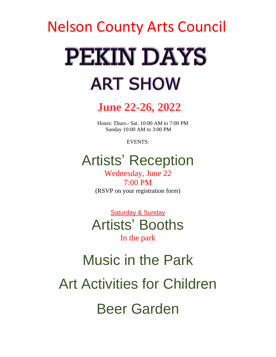# Nelson County Arts Council **PEKIN DAYS ART SHOW**

**June 22-26, 2022**

 Hours: Thurs.- Sat. 10:00 AM to 7:00 PM Sunday 10:00 AM to 3:00 PM

EVENTS:

# Artists' Reception

Wednesday, June 22 7:00 PM (RSVP on your registration form)

Saturday & Sunday Artists' Booths In the park

# Music in the Park Art Activities for Children Beer Garden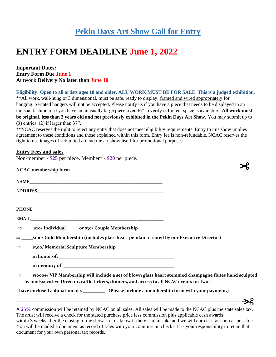## **Pekin Days Art Show Call for Entry**

# **ENTRY FORM DEADLINE June 1, 2022**

#### **Important Dates: Entry Form Due June 1 Artwork Delivery No later than June 10**

Non-member - **\$25** per piece. Member\* - **\$20** per piece*.*

**Eligibility: Open to all artists ages 18 and older. ALL WORK MUST BE FOR SALE. This is a judged exhibition. \*\***All work, wall-hung or 3 dimensional, must be safe, ready to display, framed and wired appropriately for hanging. Serrated hangers will not be accepted. Please notify us if you have a piece that needs to be displayed in an unusual fashion or if you have an unusually large piece over 36" to verify sufficient space is available. **All work must be original, less than 3 years old and not previously exhibited in the Pekin Days Art Show.** You may submit up to (3) entries. (2) if larger than 37".

\*\*NCAC reserves the right to reject any entry that does not meet eligibility requirements. Entry to this show implies agreement to these conditions and those explained within this form. Entry fee is non-refundable. NCAC reserves the right to use images of submitted art and the art show itself for promotional purposes

#### **Entry Fees and sales**

| <u> 1989 - Johann Stoff, deutscher Stoff, der Stoff, der Stoff, der Stoff, der Stoff, der Stoff, der Stoff, der S</u> |  |
|-----------------------------------------------------------------------------------------------------------------------|--|
| <b>NCAC</b> membership form                                                                                           |  |
|                                                                                                                       |  |
|                                                                                                                       |  |
|                                                                                                                       |  |
|                                                                                                                       |  |
|                                                                                                                       |  |
|                                                                                                                       |  |
| $\Rightarrow$ s100/ Gold Membership (includes glass heart pendant created by our Executive Director)                  |  |
|                                                                                                                       |  |
|                                                                                                                       |  |
|                                                                                                                       |  |
| by our Executive Director, raffle tickets, dinners, and access to all NCAC events for two!                            |  |
| I have enclosed a donation of \$                                                                                      |  |

**\_\_\_\_\_\_\_\_\_\_\_\_\_\_\_\_\_\_\_\_\_\_\_\_\_\_\_\_\_\_\_\_\_\_\_\_\_\_\_\_\_\_\_\_\_\_\_\_\_\_\_\_\_\_\_\_\_\_\_\_\_\_\_\_\_\_\_\_\_\_\_\_\_\_\_\_\_\_\_\_\_\_\_\_\_\_\_\_\_\_\_\_\_\_\_\_\_\_\_\_\_\_**

A **25%** commission will be retained by NCAC on all sales. All sales will be made to the NCAC plus the state sales tax. The artist will receive a check for the stated purchase price less commission plus applicable cash awards within 3 weeks after the closing of the show. Let us know if there is a mistake and we will correct it as soon as possible. You will be mailed a document as record of sales with your commission checks. It is your responsibility to retain that document for your own personal tax records.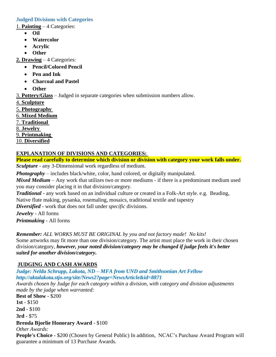#### **Judged Divisions with Categories**

1. **Painting** – 4 Categories:

- **Oil**
- **Watercolor**
- **Acrylic**
- **Other**

**2. Drawing** – 4 Categories:

- **Pencil/Colored Pencil**
- **Pen and Ink**
- **Charcoal and Pastel**
- **Other**

3. **Pottery/Glass** – Judged in separate categories when submission numbers allow.

- 4. **Sculpture**
- 5. **Photography**
- 6. **Mixed Medium**

7. **Traditional** 

8. **Jewelry** 

9. **Printmaking**

10. **Diversified**

#### **EXPLANATION OF DIVISIONS AND CATEGORIES:**

**Please read carefully to determine which division or division with category your work falls under.** *Sculpture* - any 3-Dimensional work regardless of medium.

*Photography* – includes black/white, color, hand colored, or digitally manipulated.

*Mixed Medium* – Any work that utilizes two or more mediums - if there is a predominant medium used you may consider placing it in that division/category.

*Traditional -* any work based on an individual culture or created in a Folk-Art style. e.g. Beading, Native flute making, pysanka, rosemaling, mosaics, traditional textile and tapestry

*Diversified* - work that does not fall under *specific* divisions.

*Jewelry -* All forms

*Printmaking -* All forms

*Remember: ALL WORKS MUST BE ORIGINAL by you and not factory made! No kits!*

Some artworks may fit more than one division/category. The artist must place the work in their chosen division/category, *however, your noted division/category may be changed if judge feels it's better suited for another division/category.*

#### **JUDGING AND CASH AWARDS**

*Judge: Nelda Schrupp, Lakota, ND – MFA from UND and Smithsonian Art Fellow http://aktalakota.stjo.org/site/News2?page=NewsArticle&id=8871*

*Awards chosen by Judge for each category within a division, with category and division adjustments made by the judge when warranted:*

**Best of Show** - \$200

**1st** - \$150

**2nd** - \$100

**3rd** - \$75

#### **Brenda Bjorlie Honorary Award** - \$100

*Other Awards:*

**People's Choice** - \$200 (Chosen by General Public) In addition, NCAC's Purchase Award Program will guarantee a minimum of 13 Purchase Awards.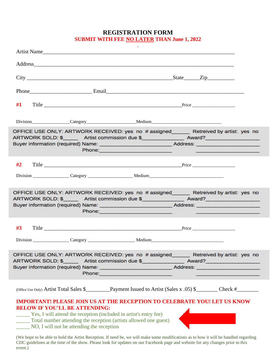**REGISTRATION FORM**

**SUBMIT WITH FEE NO LATER THAN June 1, 2022** 

|                                                                                                                                                                                                                                                                   |                                           |                                                                  | Artist Name                                                                                                                                                                                                                                                                                                       |  |
|-------------------------------------------------------------------------------------------------------------------------------------------------------------------------------------------------------------------------------------------------------------------|-------------------------------------------|------------------------------------------------------------------|-------------------------------------------------------------------------------------------------------------------------------------------------------------------------------------------------------------------------------------------------------------------------------------------------------------------|--|
|                                                                                                                                                                                                                                                                   |                                           |                                                                  | Address and the contract of the contract of the contract of the contract of the contract of the contract of the contract of the contract of the contract of the contract of the contract of the contract of the contract of th                                                                                    |  |
|                                                                                                                                                                                                                                                                   |                                           |                                                                  |                                                                                                                                                                                                                                                                                                                   |  |
|                                                                                                                                                                                                                                                                   |                                           |                                                                  |                                                                                                                                                                                                                                                                                                                   |  |
| #1                                                                                                                                                                                                                                                                |                                           |                                                                  |                                                                                                                                                                                                                                                                                                                   |  |
|                                                                                                                                                                                                                                                                   |                                           |                                                                  |                                                                                                                                                                                                                                                                                                                   |  |
|                                                                                                                                                                                                                                                                   |                                           |                                                                  | OFFICE USE ONLY: ARTWORK RECEIVED: yes no # assigned Retreived by artist: yes no<br>ARTWORK SOLD: \$_________ Artist commission due \$_________________ Award?___________________________<br>Buyer information (required) Name: __________________________________Address: ____________________________           |  |
| #2                                                                                                                                                                                                                                                                |                                           |                                                                  |                                                                                                                                                                                                                                                                                                                   |  |
|                                                                                                                                                                                                                                                                   |                                           |                                                                  |                                                                                                                                                                                                                                                                                                                   |  |
|                                                                                                                                                                                                                                                                   |                                           |                                                                  | OFFICE USE ONLY: ARTWORK RECEIVED: yes no # assigned______ Retreived by artist: yes no<br>ARTWORK SOLD: \$_________ Artist commission due \$_________________ Award?___________________________<br>Buyer information (required) Name: __________________________________Address: ________________________________ |  |
| #3                                                                                                                                                                                                                                                                |                                           |                                                                  |                                                                                                                                                                                                                                                                                                                   |  |
|                                                                                                                                                                                                                                                                   |                                           |                                                                  |                                                                                                                                                                                                                                                                                                                   |  |
|                                                                                                                                                                                                                                                                   |                                           | Phone: New York Phone:                                           | OFFICE USE ONLY: ARTWORK RECEIVED: yes no # assigned Retreived by artist: yes no<br>ARTWORK SOLD: \$_________ Artist commission due \$_________________ Award?___________________________<br>Buyer information (required) Name: ________________________________Address: ________________________                 |  |
|                                                                                                                                                                                                                                                                   |                                           |                                                                  |                                                                                                                                                                                                                                                                                                                   |  |
| <b>BELOW IF YOU'LL BE ATTENDING:</b><br><b>EXECUTE:</b> Yes, I will attend the reception (included in artist's entry fee)<br>(We hope to be able to hold the Artist Reception. If need be, we will make some modifications as to how it will be handled regarding | NO, I will not be attending the reception | Total number attending the reception (artists allowed one guest) | <b>IMPORTANT! PLEASE JOIN US AT THE RECEPTION TO CELEBRATE YOU! LET US KNOW</b>                                                                                                                                                                                                                                   |  |

event.)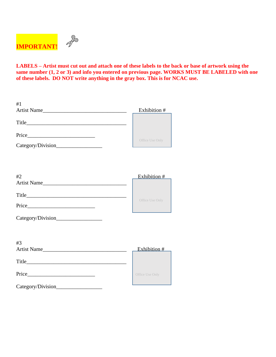

**LABELS – Artist must cut out and attach one of these labels to the back or base of artwork using the same number (1, 2 or 3) and info you entered on previous page. WORKS MUST BE LABELED with one of these labels. DO NOT write anything in the gray box. This is for NCAC use.**

| #1                                 |                 |
|------------------------------------|-----------------|
|                                    | Exhibition #    |
|                                    |                 |
|                                    |                 |
| Category/Division_________________ | Office Use Only |
|                                    |                 |
| #2                                 | Exhibition #    |
| Artist Name                        |                 |
|                                    |                 |
|                                    | Office Use Only |
|                                    |                 |
| #3                                 |                 |
| Artist Name                        | Exhibition #    |
|                                    |                 |
|                                    | Office Use Only |
|                                    |                 |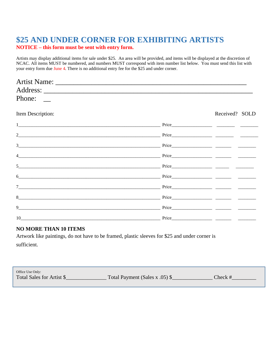### **\$25 AND UNDER CORNER FOR EXHIBITING ARTISTS NOTICE – this form must be sent with entry form.**

Artists may display additional items for sale under \$25. An area will be provided, and items will be displayed at the discretion of NCAC. All items MUST be numbered, and numbers MUST correspond with item number list below. You must send this list with your entry form due June 4. There is no additional entry fee for the \$25 and under corner.

| Phone: $\qquad \qquad$ |                                                    |                                                                                                                                                                                                                                                                                                                                                                                                                                 |
|------------------------|----------------------------------------------------|---------------------------------------------------------------------------------------------------------------------------------------------------------------------------------------------------------------------------------------------------------------------------------------------------------------------------------------------------------------------------------------------------------------------------------|
| Item Description:      |                                                    | Received? SOLD                                                                                                                                                                                                                                                                                                                                                                                                                  |
|                        |                                                    | $Price \_$                                                                                                                                                                                                                                                                                                                                                                                                                      |
|                        |                                                    |                                                                                                                                                                                                                                                                                                                                                                                                                                 |
|                        |                                                    |                                                                                                                                                                                                                                                                                                                                                                                                                                 |
|                        |                                                    |                                                                                                                                                                                                                                                                                                                                                                                                                                 |
| 5 <sup>1</sup>         |                                                    | Price                                                                                                                                                                                                                                                                                                                                                                                                                           |
| 6                      | <u>Price</u> Price Price <u>Price Price (2002)</u> |                                                                                                                                                                                                                                                                                                                                                                                                                                 |
|                        |                                                    |                                                                                                                                                                                                                                                                                                                                                                                                                                 |
|                        |                                                    |                                                                                                                                                                                                                                                                                                                                                                                                                                 |
| 9                      |                                                    |                                                                                                                                                                                                                                                                                                                                                                                                                                 |
| 10                     |                                                    | $\frac{1}{\sqrt{1-\frac{1}{2}}}\frac{1}{\sqrt{1-\frac{1}{2}}}\frac{1}{\sqrt{1-\frac{1}{2}}}\frac{1}{\sqrt{1-\frac{1}{2}}}\frac{1}{\sqrt{1-\frac{1}{2}}}\frac{1}{\sqrt{1-\frac{1}{2}}}\frac{1}{\sqrt{1-\frac{1}{2}}}\frac{1}{\sqrt{1-\frac{1}{2}}}\frac{1}{\sqrt{1-\frac{1}{2}}}\frac{1}{\sqrt{1-\frac{1}{2}}}\frac{1}{\sqrt{1-\frac{1}{2}}}\frac{1}{\sqrt{1-\frac{1}{2}}}\frac{1}{\sqrt{1-\frac{1}{2}}}\frac{1}{\sqrt{1-\frac{$ |

#### **NO MORE THAN 10 ITEMS**

Artwork like paintings, do not have to be framed, plastic sleeves for \$25 and under corner is sufficient.

| Office Use Only:          |                                |         |
|---------------------------|--------------------------------|---------|
| Total Sales for Artist \$ | Total Payment (Sales x .05) \$ | Check # |